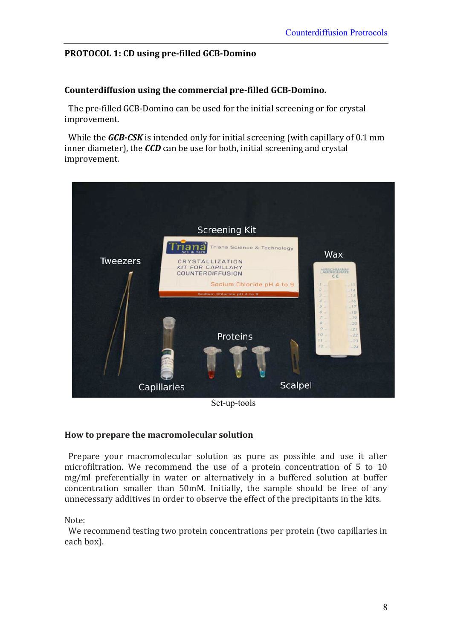# PROTOCOL 1: CD using pre-filled GCB-Domino

### **Counterdiffusion using the commercial pre-filled GCB-Domino.**

The pre-filled GCB-Domino can be used for the initial screening or for crystal improvement.

While the *GCB-CSK* is intended only for initial screening (with capillary of 0.1 mm inner diameter), the *CCD* can be use for both, initial screening and crystal improvement.



Set-up-tools

#### **How'to'prepare'the'macromolecular'solution**

Prepare your macromolecular solution as pure as possible and use it after microfiltration. We recommend the use of a protein concentration of 5 to 10 mg/ml preferentially in water or alternatively in a buffered solution at buffer concentration smaller than 50mM. Initially, the sample should be free of any unnecessary additives in order to observe the effect of the precipitants in the kits.

#### Note:

We recommend testing two protein concentrations per protein (two capillaries in each box).